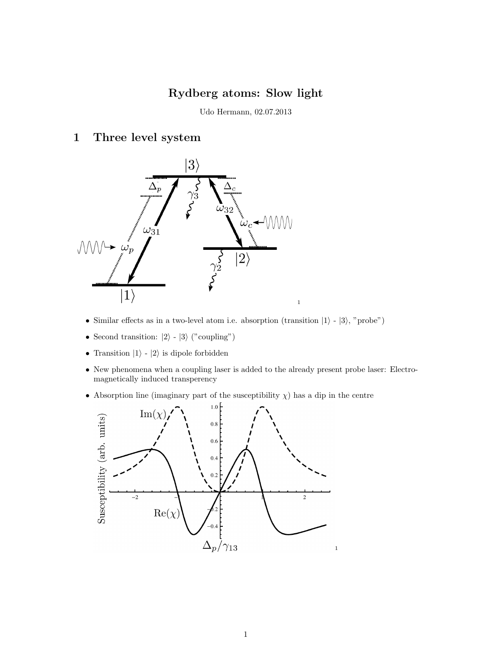# Rydberg atoms: Slow light

Udo Hermann, 02.07.2013

### 1 Three level system



- Similar effects as in a two-level atom i.e. absorption (transition  $|1\rangle |3\rangle$ , "probe")
- Second transition:  $|2\rangle$   $|3\rangle$  ("coupling")
- Transition  $|1\rangle$   $|2\rangle$  is dipole forbidden
- New phenomena when a coupling laser is added to the already present probe laser: Electromagnetically induced transperency
- Absorption line (imaginary part of the susceptibility  $\chi$ ) has a dip in the centre